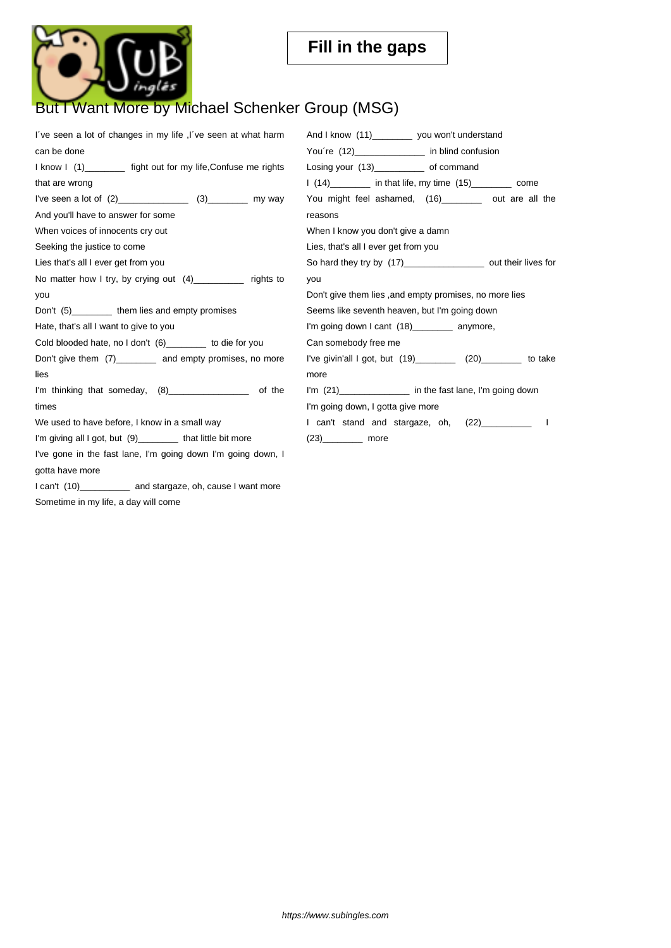

Sometime in my life, a day will come

## [But I Want More by Mic](https://www.subingles.com)hael Schenker Group (MSG)

| I've seen a lot of changes in my life, I've seen at what harm  | And I know (11)___________ you won't understand                      |
|----------------------------------------------------------------|----------------------------------------------------------------------|
| can be done                                                    | You're (12)______________ in blind confusion                         |
| I know I (1)_________ fight out for my life, Confuse me rights | Losing your (13)_____________ of command                             |
| that are wrong                                                 | $(14)$ $\frac{1}{2}$ in that life, my time $(15)$ $\frac{1}{2}$ come |
| I've seen a lot of (2)__________________ (3)__________ my way  | You might feel ashamed, (16)________ out are all the                 |
| And you'll have to answer for some                             | reasons                                                              |
| When voices of innocents cry out                               | When I know you don't give a damn                                    |
| Seeking the justice to come                                    | Lies, that's all I ever get from you                                 |
| Lies that's all I ever get from you                            | So hard they try by (17)___________________ out their lives for      |
| No matter how I try, by crying out (4)__________ rights to     | you                                                                  |
| you                                                            | Don't give them lies, and empty promises, no more lies               |
| Don't (5) _________ them lies and empty promises               | Seems like seventh heaven, but I'm going down                        |
| Hate, that's all I want to give to you                         | I'm going down I cant (18)________ anymore,                          |
| Cold blooded hate, no I don't (6) ________ to die for you      | Can somebody free me                                                 |
| Don't give them (7)_________ and empty promises, no more       | I've givin'all I got, but (19)__________ (20)__________ to take      |
| lies                                                           | more                                                                 |
| I'm thinking that someday, (8) _________________ of the        | I'm (21)______________ in the fast lane, I'm going down              |
| times                                                          | I'm going down, I gotta give more                                    |
| We used to have before, I know in a small way                  | I can't stand and stargaze, oh, (22)__________                       |
| I'm giving all I got, but (9) ________ that little bit more    | $(23)$ more                                                          |
| I've gone in the fast lane, I'm going down I'm going down, I   |                                                                      |
| gotta have more                                                |                                                                      |
| I can't (10)____________ and stargaze, oh, cause I want more   |                                                                      |

https://www.subingles.com